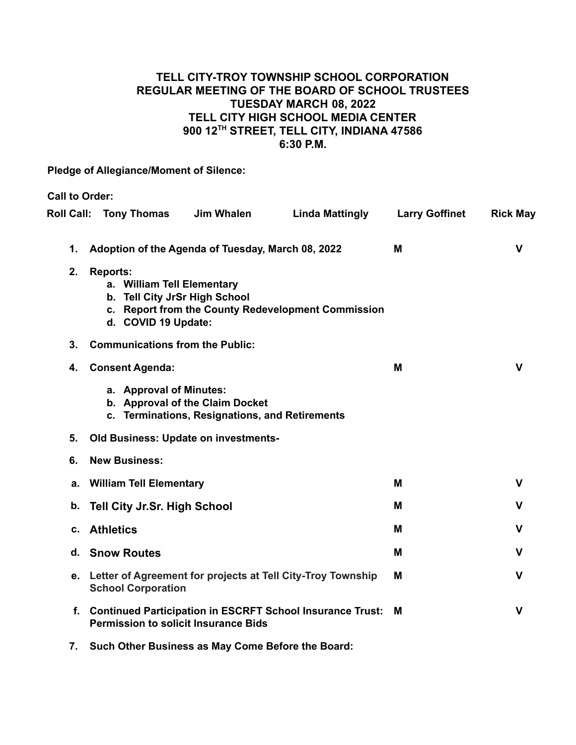## **TELL CITY-TROY TOWNSHIP SCHOOL CORPORATION REGULAR MEETING OF THE BOARD OF SCHOOL TRUSTEES TUESDAY MARCH 08, 2022 TELL CITY HIGH SCHOOL MEDIA CENTER 900 12TH STREET, TELL CITY, INDIANA 47586 6:30 P.M.**

**Pledge of Allegiance/Moment of Silence:**

**Call to Order: Roll Call: Tony Thomas Jim Whalen Linda Mattingly Larry Goffinet Rick May 1. Adoption of the Agenda of Tuesday, March 08, 2022 M V 2. Reports: a. William Tell Elementary b. Tell City JrSr High School c. Report from the County Redevelopment Commission d. COVID 19 Update: 3. Communications from the Public: 4. Consent Agenda: M V a. Approval of Minutes: b. Approval of the Claim Docket c. Terminations, Resignations, and Retirements 5. Old Business: Update on investments-6. New Business: a. William Tell Elementary M V b. Tell City Jr.Sr. High School M V c. Athletics M V d. Snow Routes M V e. Letter of Agreement for projects at Tell City-Troy Township School Corporation M V f. Continued Participation in ESCRFT School Insurance Trust: Permission to solicit Insurance Bids M V**

**7. Such Other Business as May Come Before the Board:**